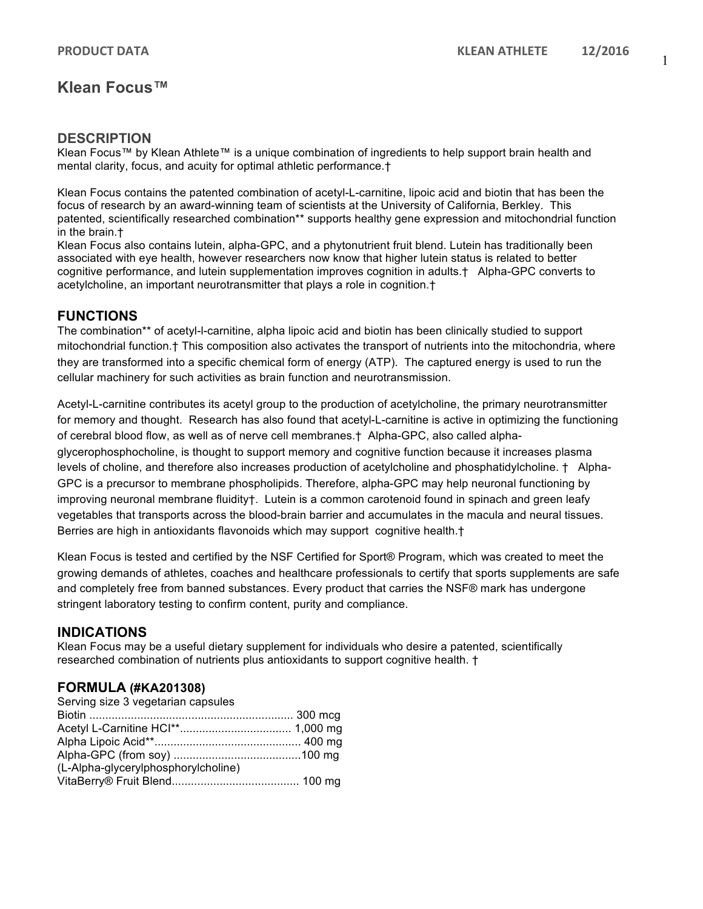# **Klean Focus™**

### **DESCRIPTION**

Klean Focus™ by Klean Athlete™ is a unique combination of ingredients to help support brain health and mental clarity, focus, and acuity for optimal athletic performance.†

Klean Focus contains the patented combination of acetyl-L-carnitine, lipoic acid and biotin that has been the focus of research by an award-winning team of scientists at the University of California, Berkley. This patented, scientifically researched combination\*\* supports healthy gene expression and mitochondrial function in the brain.†

Klean Focus also contains lutein, alpha-GPC, and a phytonutrient fruit blend. Lutein has traditionally been associated with eye health, however researchers now know that higher lutein status is related to better cognitive performance, and lutein supplementation improves cognition in adults.† Alpha-GPC converts to acetylcholine, an important neurotransmitter that plays a role in cognition.†

## **FUNCTIONS**

The combination\*\* of acetyl-l-carnitine, alpha lipoic acid and biotin has been clinically studied to support mitochondrial function.† This composition also activates the transport of nutrients into the mitochondria, where they are transformed into a specific chemical form of energy (ATP). The captured energy is used to run the cellular machinery for such activities as brain function and neurotransmission.

Acetyl-L-carnitine contributes its acetyl group to the production of acetylcholine, the primary neurotransmitter for memory and thought. Research has also found that acetyl-L-carnitine is active in optimizing the functioning of cerebral blood flow, as well as of nerve cell membranes.† Alpha-GPC, also called alphaglycerophosphocholine, is thought to support memory and cognitive function because it increases plasma levels of choline, and therefore also increases production of acetylcholine and phosphatidylcholine. † Alpha-GPC is a precursor to membrane phospholipids. Therefore, alpha-GPC may help neuronal functioning by improving neuronal membrane fluidity†. Lutein is a common carotenoid found in spinach and green leafy vegetables that transports across the blood-brain barrier and accumulates in the macula and neural tissues. Berries are high in antioxidants flavonoids which may support cognitive health.†

Klean Focus is tested and certified by the NSF Certified for Sport® Program, which was created to meet the growing demands of athletes, coaches and healthcare professionals to certify that sports supplements are safe and completely free from banned substances. Every product that carries the NSF® mark has undergone stringent laboratory testing to confirm content, purity and compliance.

### **INDICATIONS**

Klean Focus may be a useful dietary supplement for individuals who desire a patented, scientifically researched combination of nutrients plus antioxidants to support cognitive health. †

### **FORMULA (#KA201308)**

| Serving size 3 vegetarian capsules  |  |
|-------------------------------------|--|
|                                     |  |
|                                     |  |
|                                     |  |
|                                     |  |
| (L-Alpha-glycerylphosphorylcholine) |  |
|                                     |  |